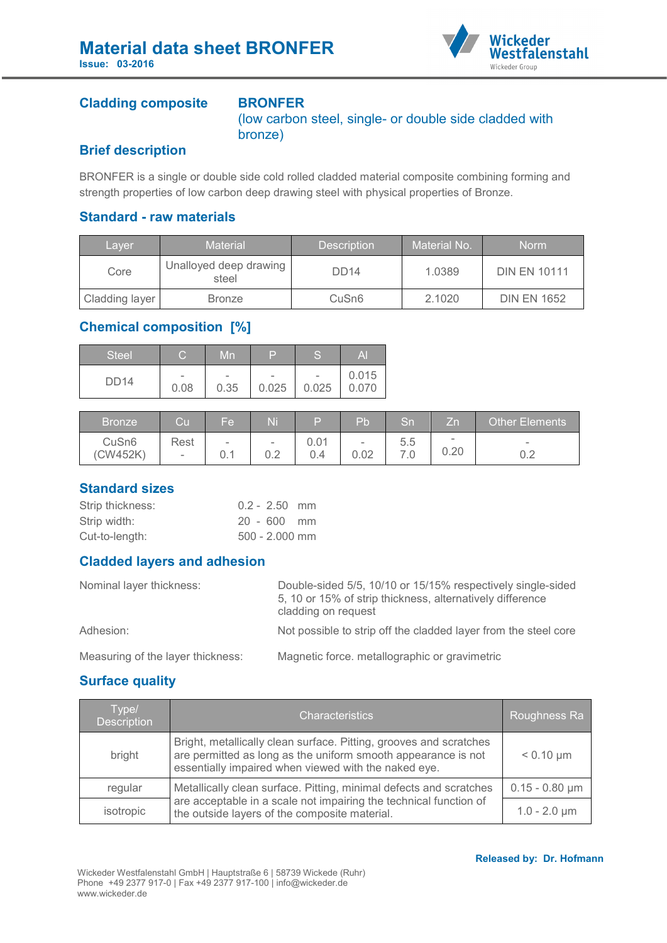

### **Cladding composite BRONFER**

(low carbon steel, single- or double side cladded with bronze)

## **Brief description**

BRONFER is a single or double side cold rolled cladded material composite combining forming and strength properties of low carbon deep drawing steel with physical properties of Bronze.

## **Standard - raw materials**

| Laver          | <b>Material</b>                 | <b>Description</b> | Material No. | <b>Norm</b>         |
|----------------|---------------------------------|--------------------|--------------|---------------------|
| Core           | Unalloyed deep drawing<br>steel | DD <sub>14</sub>   | 1.0389       | <b>DIN EN 10111</b> |
| Cladding layer | <b>Bronze</b>                   | CuSn <sub>6</sub>  | 2.1020       | <b>DIN EN 1652</b>  |

# **Chemical composition [%]**

| Steel/      | С                        | Mn                       | Б     | c<br>w                   | Al    |
|-------------|--------------------------|--------------------------|-------|--------------------------|-------|
| <b>DD14</b> | $\overline{\phantom{a}}$ | $\overline{\phantom{0}}$ | -     | $\overline{\phantom{a}}$ | 0.015 |
|             | 0.08                     | 0.35                     | 0.025 | 0.025                    | 0.070 |

| <b>Bronze</b>     | Cul    | Fe'    | Ni                       | D    | Pb                       | Sn  | Zn       | Other Elements |
|-------------------|--------|--------|--------------------------|------|--------------------------|-----|----------|----------------|
| CuSn <sub>6</sub> | Rest   | $\sim$ | $\overline{\phantom{0}}$ | 0.01 | $\overline{\phantom{0}}$ | 5.5 | $\equiv$ | $\sim$         |
| (CW452K)          | $\sim$ | 0.1    | ◡.∠                      | 0.4  | 0.02                     |     | 0.20     | ◡.∠            |

### **Standard sizes**

| Strip thickness: | $0.2 - 2.50$ mm  |  |
|------------------|------------------|--|
| Strip width:     | $20 - 600$ mm    |  |
| Cut-to-length:   | $500 - 2.000$ mm |  |

### **Cladded layers and adhesion**

| Nominal layer thickness:          | Double-sided 5/5, 10/10 or 15/15% respectively single-sided<br>5, 10 or 15% of strip thickness, alternatively difference<br>cladding on request |
|-----------------------------------|-------------------------------------------------------------------------------------------------------------------------------------------------|
| Adhesion:                         | Not possible to strip off the cladded layer from the steel core                                                                                 |
| Measuring of the layer thickness: | Magnetic force. metallographic or gravimetric                                                                                                   |

## **Surface quality**

| Type/<br><b>Description</b> | <b>Characteristics</b>                                                                                                                                                                      | Roughness Ra        |
|-----------------------------|---------------------------------------------------------------------------------------------------------------------------------------------------------------------------------------------|---------------------|
| bright                      | Bright, metallically clean surface. Pitting, grooves and scratches<br>are permitted as long as the uniform smooth appearance is not<br>essentially impaired when viewed with the naked eye. | $< 0.10 \mu m$      |
| regular                     | Metallically clean surface. Pitting, minimal defects and scratches                                                                                                                          | $0.15 - 0.80 \mu m$ |
| isotropic                   | are acceptable in a scale not impairing the technical function of<br>the outside layers of the composite material.                                                                          | $1.0 - 2.0 \mu m$   |

#### **Released by: Dr. Hofmann**